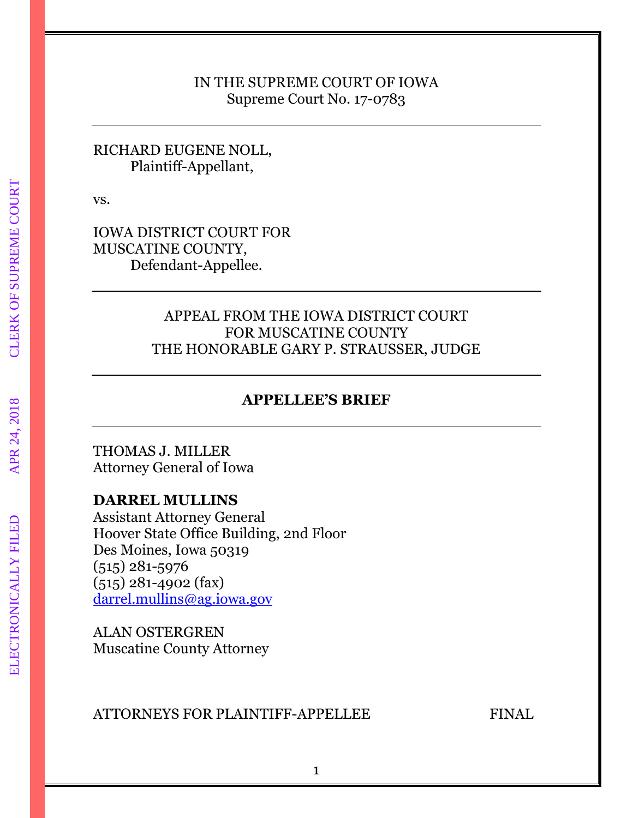## IN THE SUPREME COURT OF IOWA Supreme Court No. 17-0783

# RICHARD EUGENE NOLL, Plaintiff-Appellant,

vs.

IOWA DISTRICT COURT FOR MUSCATINE COUNTY, Defendant-Appellee.

# APPEAL FROM THE IOWA DISTRICT COURT FOR MUSCATINE COUNTY THE HONORABLE GARY P. STRAUSSER, JUDGE

# **APPELLEE'S BRIEF**

THOMAS J. MILLER Attorney General of Iowa

# **DARREL MULLINS**

Assistant Attorney General Hoover State Office Building, 2nd Floor Des Moines, Iowa 50319 (515) 281-5976 (515) 281-4902 (fax) [darrel.mullins@ag.iowa.gov](mailto:darrel.mullins@ag.iowa.gov)

ALAN OSTERGREN Muscatine County Attorney

# ATTORNEYS FOR PLAINTIFF-APPELLEE FINAL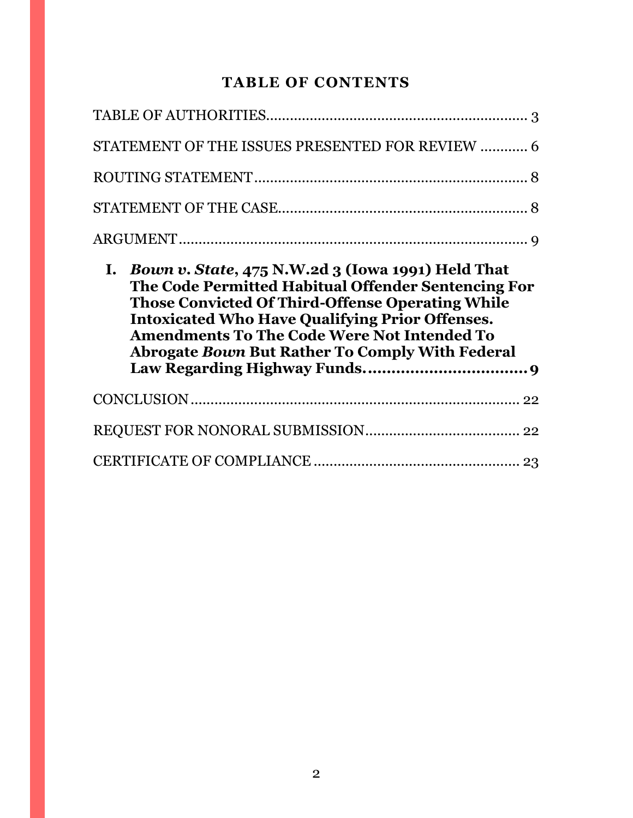# **TABLE OF CONTENTS**

| STATEMENT OF THE ISSUES PRESENTED FOR REVIEW  6                                                                                                                                                                                                                                          |  |
|------------------------------------------------------------------------------------------------------------------------------------------------------------------------------------------------------------------------------------------------------------------------------------------|--|
|                                                                                                                                                                                                                                                                                          |  |
|                                                                                                                                                                                                                                                                                          |  |
|                                                                                                                                                                                                                                                                                          |  |
| I. Bown v. State, $475$ N.W. 2d 3 (Iowa 1991) Held That                                                                                                                                                                                                                                  |  |
| The Code Permitted Habitual Offender Sentencing For<br><b>Those Convicted Of Third-Offense Operating While</b><br><b>Intoxicated Who Have Qualifying Prior Offenses.</b><br><b>Amendments To The Code Were Not Intended To</b><br><b>Abrogate Bown But Rather To Comply With Federal</b> |  |
|                                                                                                                                                                                                                                                                                          |  |
|                                                                                                                                                                                                                                                                                          |  |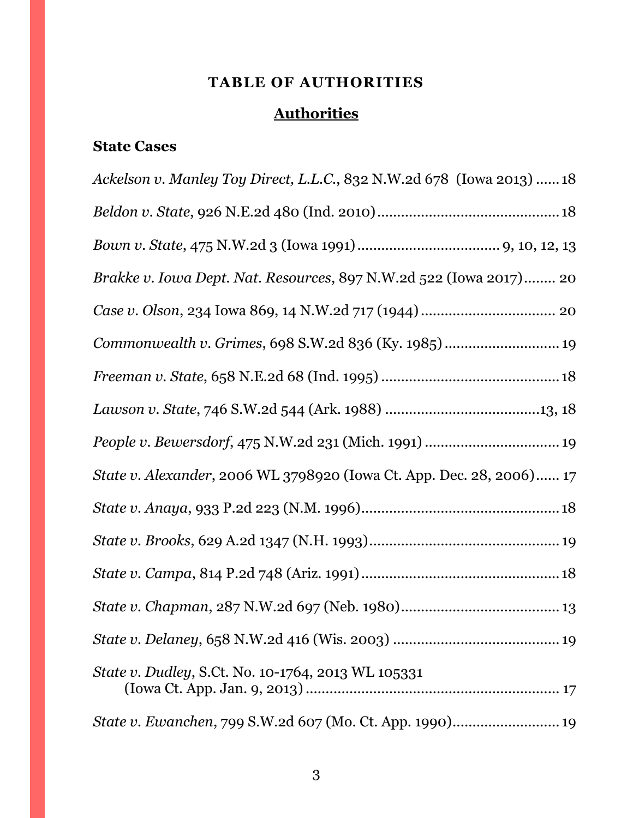# **TABLE OF AUTHORITIES**

# **Authorities**

# <span id="page-2-0"></span>**State Cases**

| Ackelson v. Manley Toy Direct, L.L.C., 832 N.W.2d 678 (Iowa 2013)  18 |
|-----------------------------------------------------------------------|
|                                                                       |
|                                                                       |
| Brakke v. Iowa Dept. Nat. Resources, 897 N.W.2d 522 (Iowa 2017) 20    |
|                                                                       |
| Commonwealth v. Grimes, 698 S.W.2d 836 (Ky. 1985)  19                 |
|                                                                       |
|                                                                       |
|                                                                       |
| State v. Alexander, 2006 WL 3798920 (Iowa Ct. App. Dec. 28, 2006) 17  |
|                                                                       |
|                                                                       |
|                                                                       |
|                                                                       |
|                                                                       |
| <i>State v. Dudley, S.Ct. No. 10-1764, 2013 WL 105331</i>             |
| State v. Ewanchen, 799 S.W.2d 607 (Mo. Ct. App. 1990) 19              |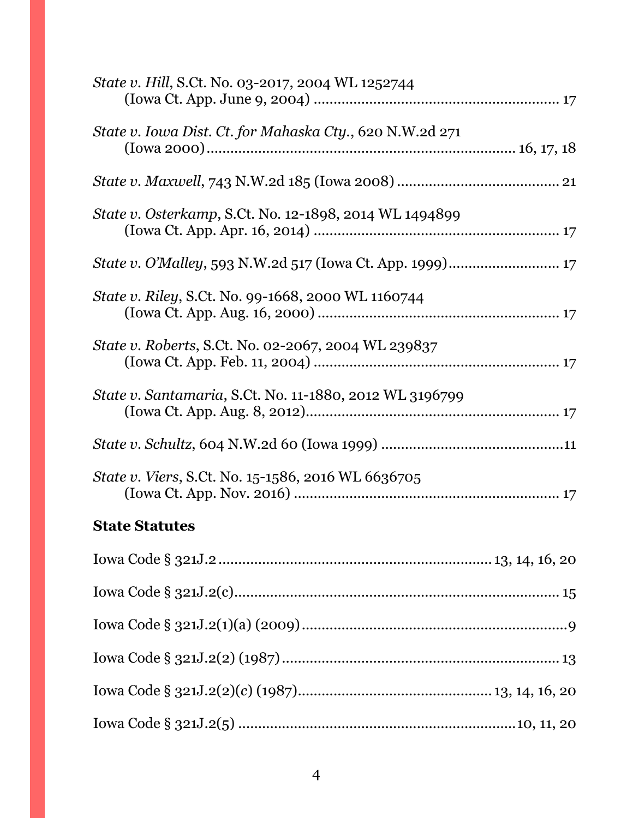| <i>State v. Hill, S.Ct. No. 03-2017, 2004 WL 1252744</i>       |
|----------------------------------------------------------------|
| State v. Iowa Dist. Ct. for Mahaska Cty., 620 N.W.2d 271       |
|                                                                |
| <i>State v. Osterkamp, S.Ct. No. 12-1898, 2014 WL 1494899</i>  |
|                                                                |
| State v. Riley, S.Ct. No. 99-1668, 2000 WL 1160744             |
| State v. Roberts, S.Ct. No. 02-2067, 2004 WL 239837            |
| <i>State v. Santamaria, S.Ct. No. 11-1880, 2012 WL 3196799</i> |
|                                                                |
| <i>State v. Viers, S.Ct. No.</i> 15-1586, 2016 WL 6636705      |
| <b>State Statutes</b>                                          |
|                                                                |
|                                                                |
|                                                                |
|                                                                |
|                                                                |

Iowa Code § 321J.2(5) ......................................................................10, 11, 20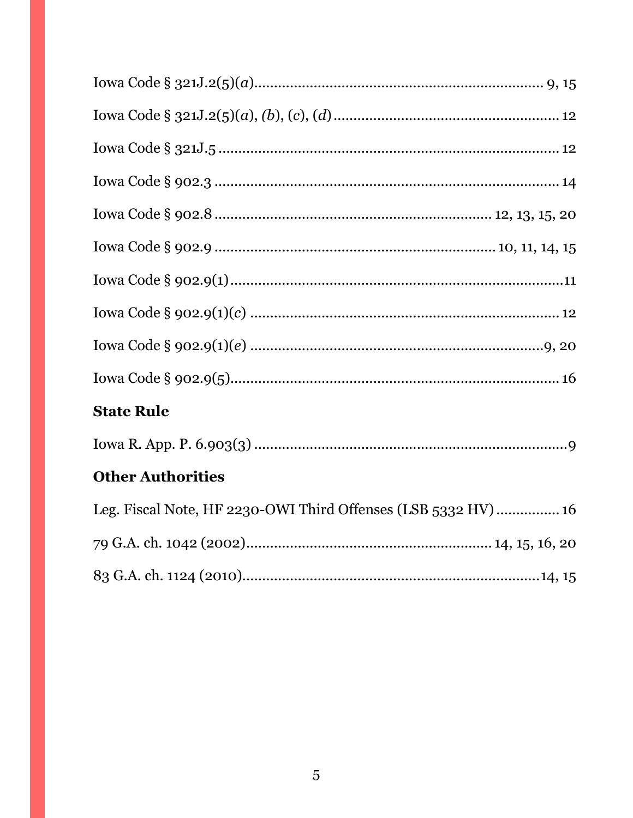| <b>State Rule</b>                                             |
|---------------------------------------------------------------|
|                                                               |
| <b>Other Authorities</b>                                      |
| Leg. Fiscal Note, HF 2230-OWI Third Offenses (LSB 5332 HV) 16 |
|                                                               |
|                                                               |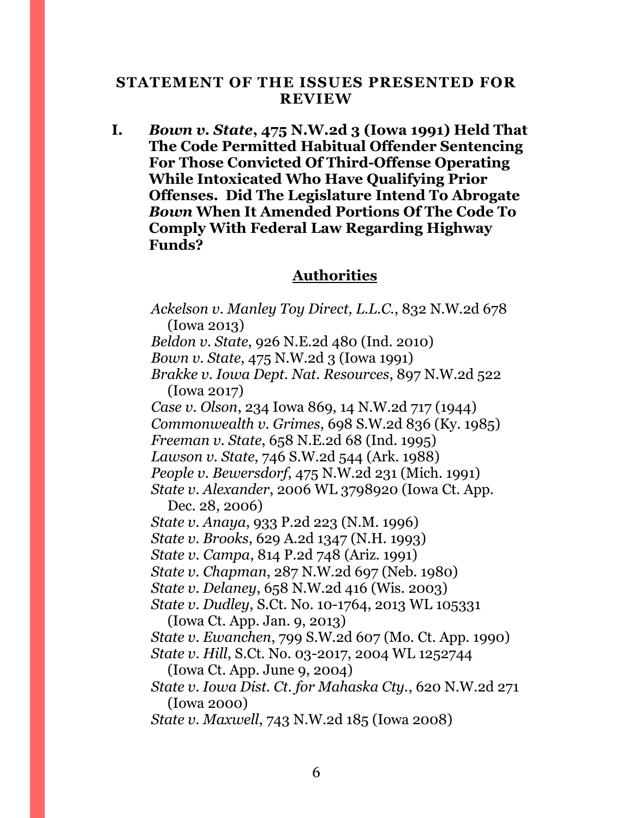## <span id="page-5-0"></span>**STATEMENT OF THE ISSUES PRESENTED FOR REVIEW**

**I.** *Bown v. State***, 475 N.W.2d 3 (Iowa 1991) Held That The Code Permitted Habitual Offender Sentencing For Those Convicted Of Third-Offense Operating While Intoxicated Who Have Qualifying Prior Offenses. Did The Legislature Intend To Abrogate**  *Bown* **When It Amended Portions Of The Code To Comply With Federal Law Regarding Highway Funds?**

# **Authorities**

*Ackelson v. Manley Toy Direct, L.L.C.*, 832 N.W.2d 678 (Iowa 2013) *Beldon v. State*, 926 N.E.2d 480 (Ind. 2010) *Bown v. State*, 475 N.W.2d 3 (Iowa 1991) *Brakke v. Iowa Dept. Nat. Resources*, 897 N.W.2d 522 (Iowa 2017) *Case v. Olson*, 234 Iowa 869, 14 N.W.2d 717 (1944) *Commonwealth v. Grimes*, 698 S.W.2d 836 (Ky. 1985) *Freeman v. State*, 658 N.E.2d 68 (Ind. 1995) *Lawson v. State*, 746 S.W.2d 544 (Ark. 1988) *People v. Bewersdorf*, 475 N.W.2d 231 (Mich. 1991) *State v. Alexander*, 2006 WL 3798920 (Iowa Ct. App. Dec. 28, 2006) *State v. Anaya*, 933 P.2d 223 (N.M. 1996) *State v. Brooks*, 629 A.2d 1347 (N.H. 1993) *State v. Campa*, 814 P.2d 748 (Ariz. 1991) *State v. Chapman*, 287 N.W.2d 697 (Neb. 1980) *State v. Delaney*, 658 N.W.2d 416 (Wis. 2003) *State v. Dudley*, S.Ct. No. 10-1764, 2013 WL 105331 (Iowa Ct. App. Jan. 9, 2013) *State v. Ewanchen*, 799 S.W.2d 607 (Mo. Ct. App. 1990) *State v. Hill*, S.Ct. No. 03-2017, 2004 WL 1252744 (Iowa Ct. App. June 9, 2004) *State v. Iowa Dist. Ct. for Mahaska Cty.*, 620 N.W.2d 271 (Iowa 2000) *State v. Maxwell*, 743 N.W.2d 185 (Iowa 2008)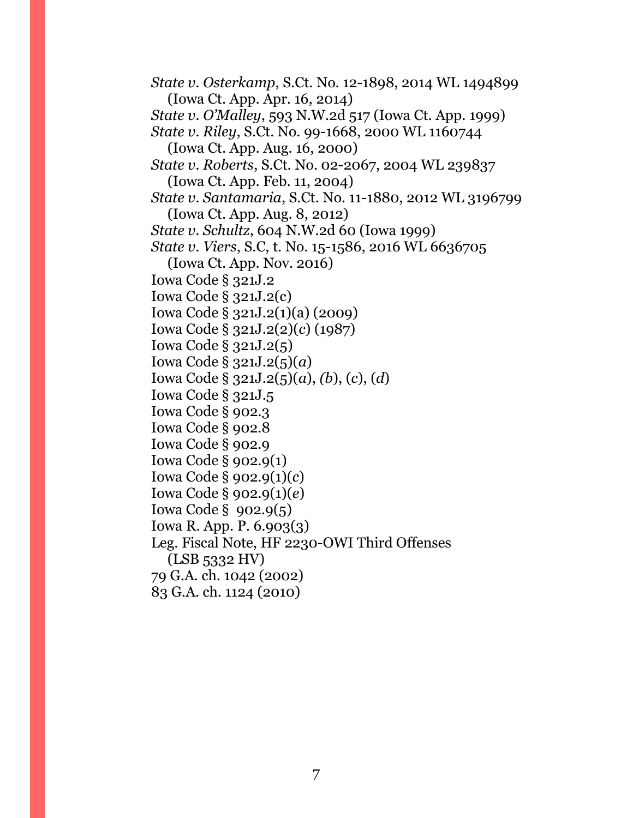*State v. Osterkamp*, S.Ct. No. 12-1898, 2014 WL 1494899 (Iowa Ct. App. Apr. 16, 2014) *State v. O'Malley*, 593 N.W.2d 517 (Iowa Ct. App. 1999) *State v. Riley*, S.Ct. No. 99-1668, 2000 WL 1160744 (Iowa Ct. App. Aug. 16, 2000) *State v. Roberts*, S.Ct. No. 02-2067, 2004 WL 239837 (Iowa Ct. App. Feb. 11, 2004) *State v. Santamaria*, S.Ct. No. 11-1880, 2012 WL 3196799 (Iowa Ct. App. Aug. 8, 2012) *State v. Schultz*, 604 N.W.2d 60 (Iowa 1999) *State v. Viers, S.C, t. No.* 15-1586, 2016 WL 6636705 (Iowa Ct. App. Nov. 2016) Iowa Code § 321J.2 Iowa Code § 321J.2(c) Iowa Code § 321J.2(1)(a) (2009) Iowa Code § 321J.2(2)(*c*) (1987) Iowa Code § 321J.2(5) Iowa Code § 321J.2(5)(*a*) Iowa Code § 321J.2(5)(*a*), *(b*), (*c*), (*d*) Iowa Code § 321J.5 Iowa Code § 902.3 Iowa Code § 902.8 Iowa Code § 902.9 Iowa Code § 902.9(1) Iowa Code § 902.9(1)(*c*) Iowa Code § 902.9(1)(*e*) Iowa Code § 902.9(5) Iowa R. App. P. 6.903(3) Leg. Fiscal Note, HF 2230-OWI Third Offenses (LSB 5332 HV) 79 G.A. ch. 1042 (2002) 83 G.A. ch. 1124 (2010)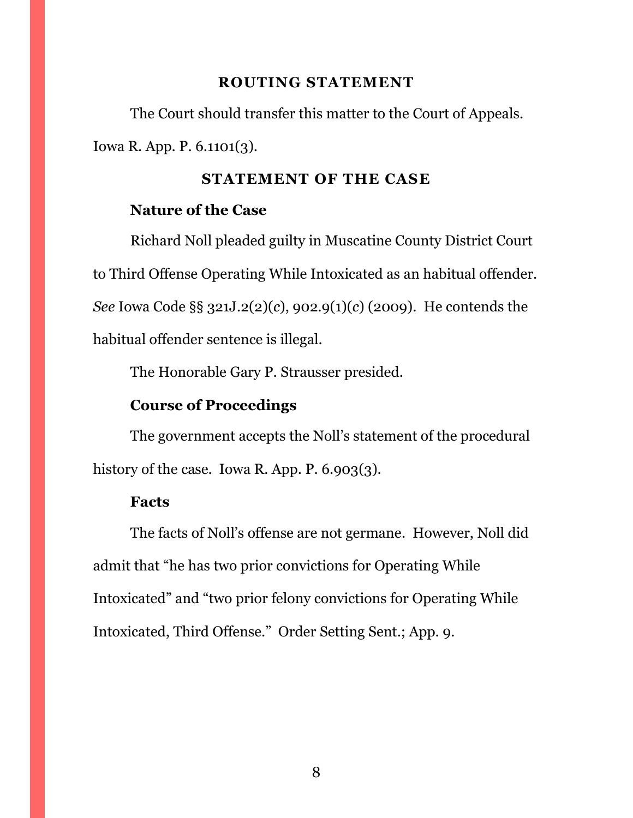#### **ROUTING STATEMENT**

<span id="page-7-0"></span>The Court should transfer this matter to the Court of Appeals. Iowa R. App. P. 6.1101(3).

## **STATEMENT OF THE CASE**

## <span id="page-7-1"></span>**Nature of the Case**

Richard Noll pleaded guilty in Muscatine County District Court to Third Offense Operating While Intoxicated as an habitual offender. *See* Iowa Code §§ 321J.2(2)(*c*), 902.9(1)(*c*) (2009). He contends the habitual offender sentence is illegal.

The Honorable Gary P. Strausser presided.

# **Course of Proceedings**

The government accepts the Noll's statement of the procedural history of the case. Iowa R. App. P. 6.903(3).

#### **Facts**

The facts of Noll's offense are not germane. However, Noll did admit that "he has two prior convictions for Operating While Intoxicated" and "two prior felony convictions for Operating While Intoxicated, Third Offense." Order Setting Sent.; App. 9.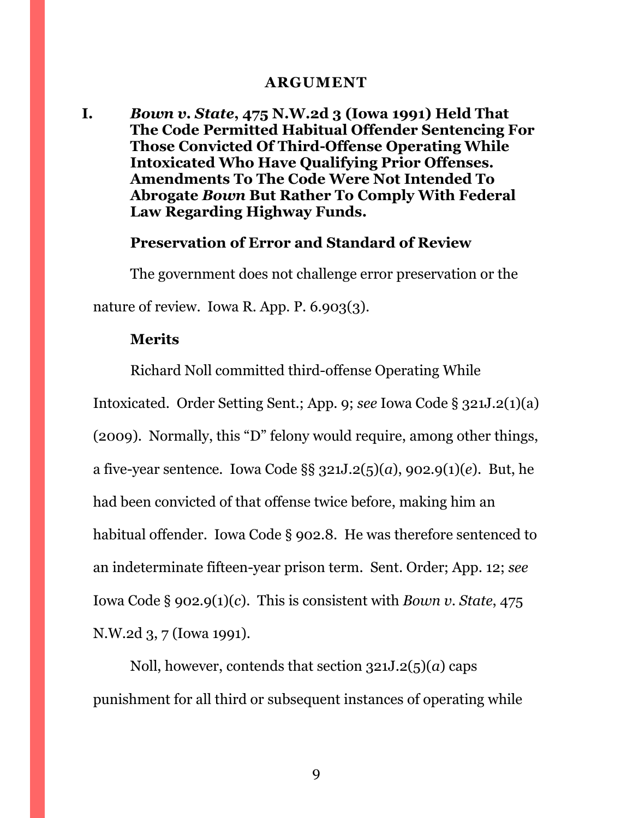#### **ARGUMENT**

<span id="page-8-1"></span><span id="page-8-0"></span>**I.** *Bown v. State***, 475 N.W.2d 3 (Iowa 1991) Held That The Code Permitted Habitual Offender Sentencing For Those Convicted Of Third-Offense Operating While Intoxicated Who Have Qualifying Prior Offenses. Amendments To The Code Were Not Intended To Abrogate** *Bown* **But Rather To Comply With Federal Law Regarding Highway Funds.**

# **Preservation of Error and Standard of Review**

The government does not challenge error preservation or the nature of review. Iowa R. App. P. 6.903(3).

# **Merits**

Richard Noll committed third-offense Operating While Intoxicated. Order Setting Sent.; App. 9; *see* Iowa Code § 321J.2(1)(a) (2009). Normally, this "D" felony would require, among other things, a five-year sentence. Iowa Code §§ 321J.2(5)(*a*), 902.9(1)(*e*). But, he had been convicted of that offense twice before, making him an habitual offender. Iowa Code § 902.8. He was therefore sentenced to an indeterminate fifteen-year prison term. Sent. Order; App. 12; *see*  Iowa Code § 902.9(1)(*c*). This is consistent with *Bown v. State*, 475 N.W.2d 3, 7 (Iowa 1991).

Noll, however, contends that section 321J.2(5)(*a*) caps punishment for all third or subsequent instances of operating while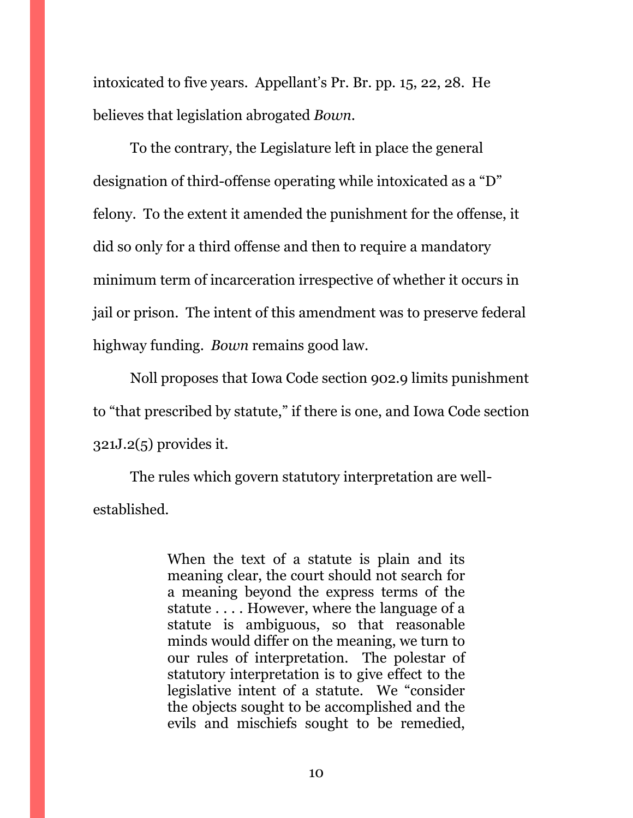intoxicated to five years. Appellant's Pr. Br. pp. 15, 22, 28. He believes that legislation abrogated *Bown*.

To the contrary, the Legislature left in place the general designation of third-offense operating while intoxicated as a "D" felony. To the extent it amended the punishment for the offense, it did so only for a third offense and then to require a mandatory minimum term of incarceration irrespective of whether it occurs in jail or prison. The intent of this amendment was to preserve federal highway funding. *Bown* remains good law.

Noll proposes that Iowa Code section 902.9 limits punishment to "that prescribed by statute," if there is one, and Iowa Code section 321J.2(5) provides it.

The rules which govern statutory interpretation are wellestablished.

> When the text of a statute is plain and its meaning clear, the court should not search for a meaning beyond the express terms of the statute . . . . However, where the language of a statute is ambiguous, so that reasonable minds would differ on the meaning, we turn to our rules of interpretation. The polestar of statutory interpretation is to give effect to the legislative intent of a statute. We "consider the objects sought to be accomplished and the evils and mischiefs sought to be remedied,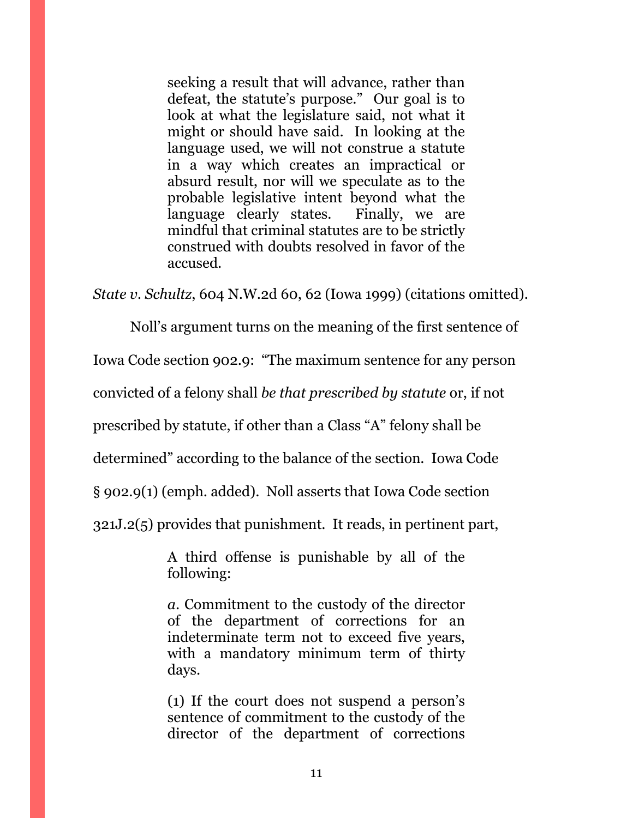seeking a result that will advance, rather than defeat, the statute's purpose." Our goal is to look at what the legislature said, not what it might or should have said. In looking at the language used, we will not construe a statute in a way which creates an impractical or absurd result, nor will we speculate as to the probable legislative intent beyond what the language clearly states. Finally, we are mindful that criminal statutes are to be strictly construed with doubts resolved in favor of the accused.

*State v. Schultz*, 604 N.W.2d 60, 62 (Iowa 1999) (citations omitted).

Noll's argument turns on the meaning of the first sentence of

Iowa Code section 902.9: "The maximum sentence for any person

convicted of a felony shall *be that prescribed by statute* or, if not

prescribed by statute, if other than a Class "A" felony shall be

determined" according to the balance of the section. Iowa Code

§ 902.9(1) (emph. added). Noll asserts that Iowa Code section

321J.2(5) provides that punishment. It reads, in pertinent part,

A third offense is punishable by all of the following:

*a*. Commitment to the custody of the director of the department of corrections for an indeterminate term not to exceed five years, with a mandatory minimum term of thirty days.

(1) If the court does not suspend a person's sentence of commitment to the custody of the director of the department of corrections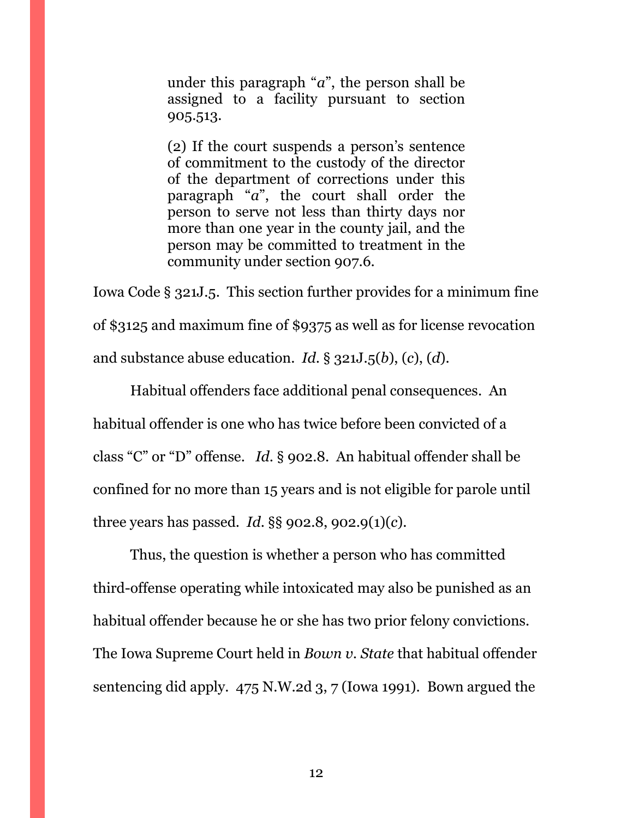under this paragraph "*a*", the person shall be assigned to a facility pursuant to section 905.513.

(2) If the court suspends a person's sentence of commitment to the custody of the director of the department of corrections under this paragraph "*a*", the court shall order the person to serve not less than thirty days nor more than one year in the county jail, and the person may be committed to treatment in the community under section 907.6.

Iowa Code § 321J.5. This section further provides for a minimum fine of \$3125 and maximum fine of \$9375 as well as for license revocation and substance abuse education. *Id*. § 321J.5(*b*), (*c*), (*d*).

Habitual offenders face additional penal consequences. An habitual offender is one who has twice before been convicted of a class "C" or "D" offense. *Id*. § 902.8. An habitual offender shall be confined for no more than 15 years and is not eligible for parole until three years has passed. *Id*. §§ 902.8, 902.9(1)(*c*).

Thus, the question is whether a person who has committed third-offense operating while intoxicated may also be punished as an habitual offender because he or she has two prior felony convictions. The Iowa Supreme Court held in *Bown v. State* that habitual offender sentencing did apply. 475 N.W.2d 3, 7 (Iowa 1991). Bown argued the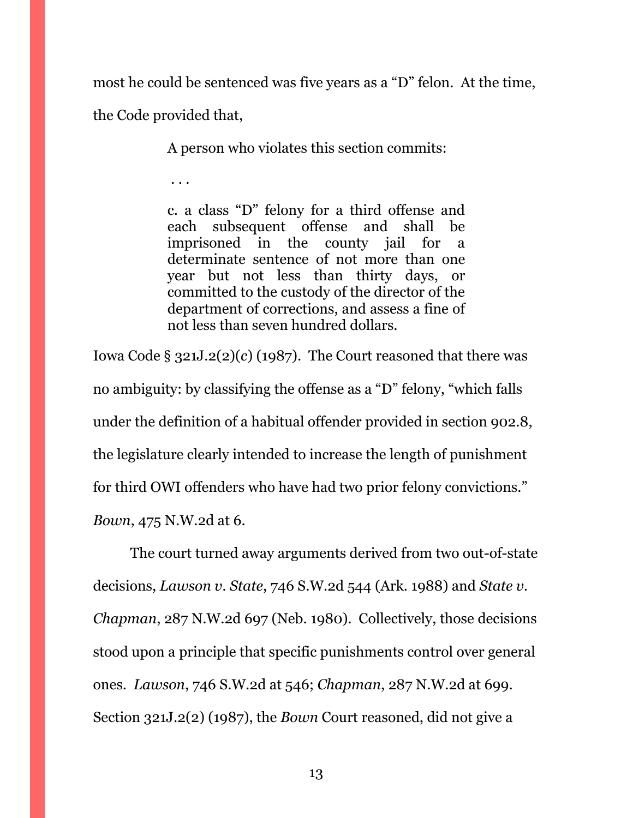most he could be sentenced was five years as a "D" felon. At the time, the Code provided that,

A person who violates this section commits:

. . .

c. a class "D" felony for a third offense and each subsequent offense and shall be imprisoned in the county jail for a determinate sentence of not more than one year but not less than thirty days, or committed to the custody of the director of the department of corrections, and assess a fine of not less than seven hundred dollars.

Iowa Code § 321J.2(2)(*c*) (1987). The Court reasoned that there was no ambiguity: by classifying the offense as a "D" felony, "which falls under the definition of a habitual offender provided in section 902.8, the legislature clearly intended to increase the length of punishment for third OWI offenders who have had two prior felony convictions." *Bown*, 475 N.W.2d at 6.

The court turned away arguments derived from two out-of-state decisions, *Lawson v. State*, 746 S.W.2d 544 (Ark. 1988) and *State v. Chapman*, 287 N.W.2d 697 (Neb. 1980). Collectively, those decisions stood upon a principle that specific punishments control over general ones. *Lawson*, 746 S.W.2d at 546; *Chapman*, 287 N.W.2d at 699. Section 321J.2(2) (1987), the *Bown* Court reasoned, did not give a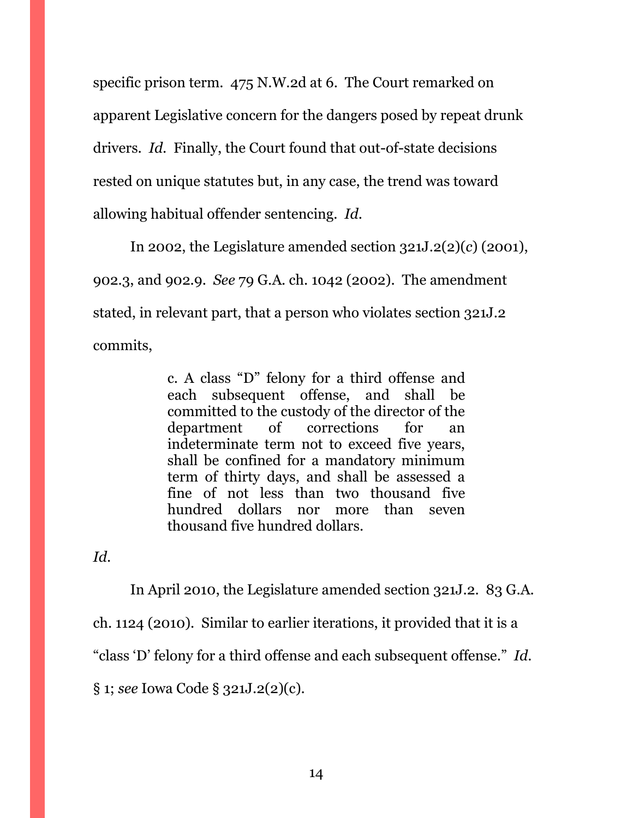specific prison term. 475 N.W.2d at 6. The Court remarked on apparent Legislative concern for the dangers posed by repeat drunk drivers. *Id*. Finally, the Court found that out-of-state decisions rested on unique statutes but, in any case, the trend was toward allowing habitual offender sentencing. *Id*.

In 2002, the Legislature amended section 321J.2(2)(*c*) (2001), 902.3, and 902.9. *See* 79 G.A. ch. 1042 (2002). The amendment stated, in relevant part, that a person who violates section 321J.2 commits,

> c. A class "D" felony for a third offense and each subsequent offense, and shall be committed to the custody of the director of the department of corrections for an indeterminate term not to exceed five years, shall be confined for a mandatory minimum term of thirty days, and shall be assessed a fine of not less than two thousand five hundred dollars nor more than seven thousand five hundred dollars.

*Id*.

In April 2010, the Legislature amended section 321J.2. 83 G.A. ch. 1124 (2010). Similar to earlier iterations, it provided that it is a "class 'D' felony for a third offense and each subsequent offense." *Id*. § 1; *see* Iowa Code § 321J.2(2)(c).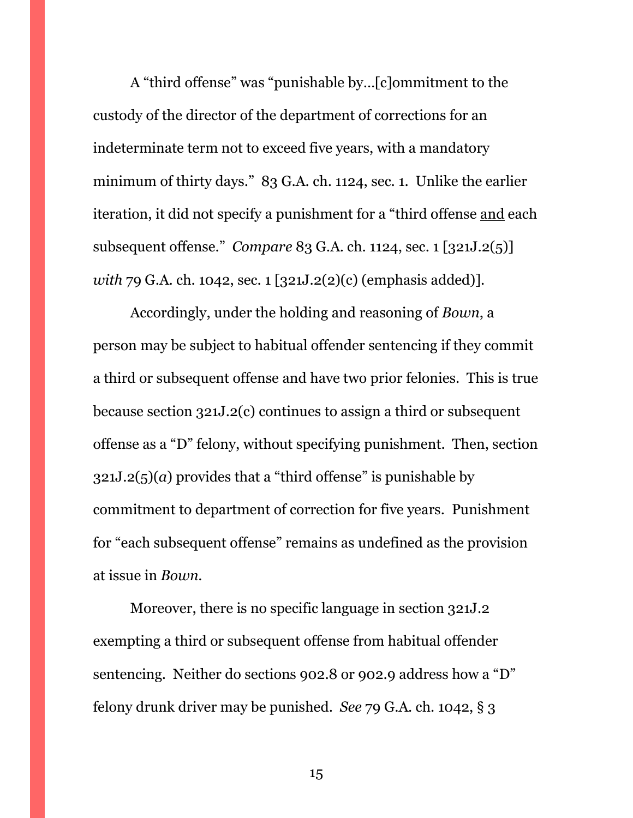A "third offense" was "punishable by…[c]ommitment to the custody of the director of the department of corrections for an indeterminate term not to exceed five years, with a mandatory minimum of thirty days." 83 G.A. ch. 1124, sec. 1. Unlike the earlier iteration, it did not specify a punishment for a "third offense and each subsequent offense." *Compare* 83 G.A. ch. 1124, sec. 1 [321J.2(5)] *with* 79 G.A. ch. 1042, sec. 1 [321J.2(2)(c) (emphasis added)].

Accordingly, under the holding and reasoning of *Bown*, a person may be subject to habitual offender sentencing if they commit a third or subsequent offense and have two prior felonies. This is true because section 321J.2(c) continues to assign a third or subsequent offense as a "D" felony, without specifying punishment. Then, section  $321J.2(5)(a)$  provides that a "third offense" is punishable by commitment to department of correction for five years. Punishment for "each subsequent offense" remains as undefined as the provision at issue in *Bown*.

Moreover, there is no specific language in section 321J.2 exempting a third or subsequent offense from habitual offender sentencing. Neither do sections 902.8 or 902.9 address how a "D" felony drunk driver may be punished. *See* 79 G.A. ch. 1042, § 3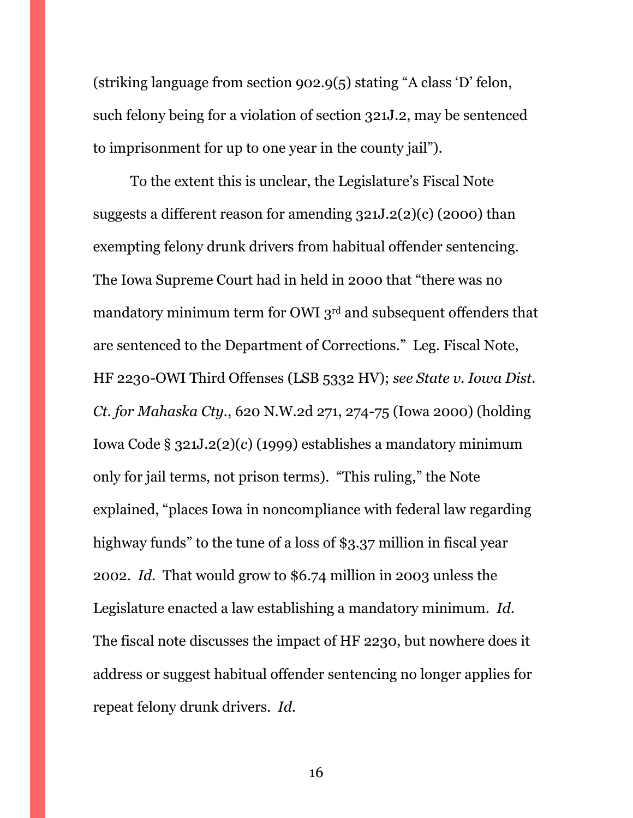(striking language from section 902.9(5) stating "A class 'D' felon, such felony being for a violation of section 321J.2, may be sentenced to imprisonment for up to one year in the county jail").

To the extent this is unclear, the Legislature's Fiscal Note suggests a different reason for amending 321J.2(2)(c) (2000) than exempting felony drunk drivers from habitual offender sentencing. The Iowa Supreme Court had in held in 2000 that "there was no mandatory minimum term for OWI 3rd and subsequent offenders that are sentenced to the Department of Corrections." Leg. Fiscal Note, HF 2230-OWI Third Offenses (LSB 5332 HV); *see State v. Iowa Dist. Ct. for Mahaska Cty.*, 620 N.W.2d 271, 274-75 (Iowa 2000) (holding Iowa Code § 321J.2(2)(*c*) (1999) establishes a mandatory minimum only for jail terms, not prison terms). "This ruling," the Note explained, "places Iowa in noncompliance with federal law regarding highway funds" to the tune of a loss of \$3.37 million in fiscal year 2002. *Id*. That would grow to \$6.74 million in 2003 unless the Legislature enacted a law establishing a mandatory minimum. *Id*. The fiscal note discusses the impact of HF 2230, but nowhere does it address or suggest habitual offender sentencing no longer applies for repeat felony drunk drivers. *Id*.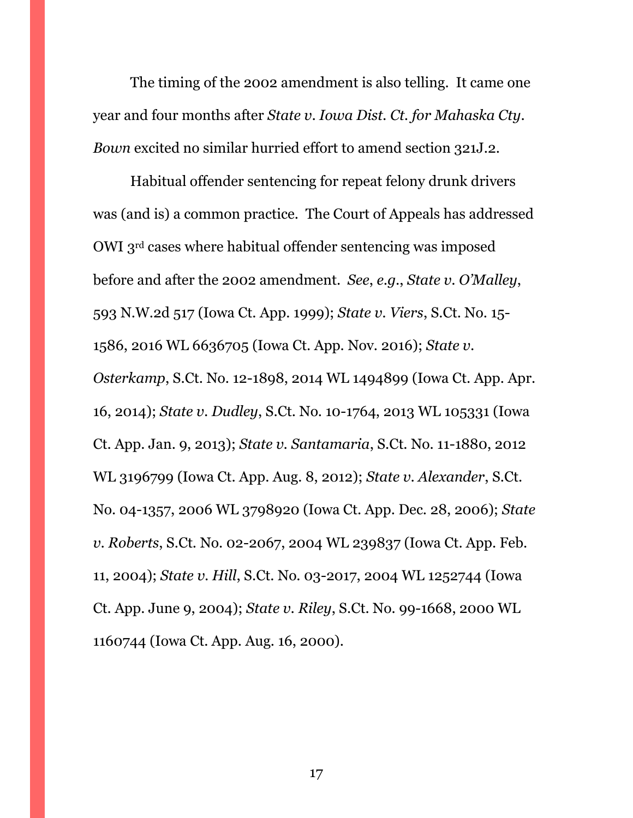The timing of the 2002 amendment is also telling. It came one year and four months after *State v. Iowa Dist. Ct. for Mahaska Cty*. *Bown* excited no similar hurried effort to amend section 321J.2.

Habitual offender sentencing for repeat felony drunk drivers was (and is) a common practice. The Court of Appeals has addressed OWI 3rd cases where habitual offender sentencing was imposed before and after the 2002 amendment. *See*, *e.g.*, *State v. O'Malley*, 593 N.W.2d 517 (Iowa Ct. App. 1999); *State v. Viers*, S.Ct. No. 15- 1586, 2016 WL 6636705 (Iowa Ct. App. Nov. 2016); *State v. Osterkamp*, S.Ct. No. 12-1898, 2014 WL 1494899 (Iowa Ct. App. Apr. 16, 2014); *State v. Dudley*, S.Ct. No. 10-1764, 2013 WL 105331 (Iowa Ct. App. Jan. 9, 2013); *State v. Santamaria*, S.Ct. No. 11-1880, 2012 WL 3196799 (Iowa Ct. App. Aug. 8, 2012); *State v. Alexander*, S.Ct. No. 04-1357, 2006 WL 3798920 (Iowa Ct. App. Dec. 28, 2006); *State v. Roberts*, S.Ct. No. 02-2067, 2004 WL 239837 (Iowa Ct. App. Feb. 11, 2004); *State v. Hill*, S.Ct. No. 03-2017, 2004 WL 1252744 (Iowa Ct. App. June 9, 2004); *State v. Riley*, S.Ct. No. 99-1668, 2000 WL 1160744 (Iowa Ct. App. Aug. 16, 2000).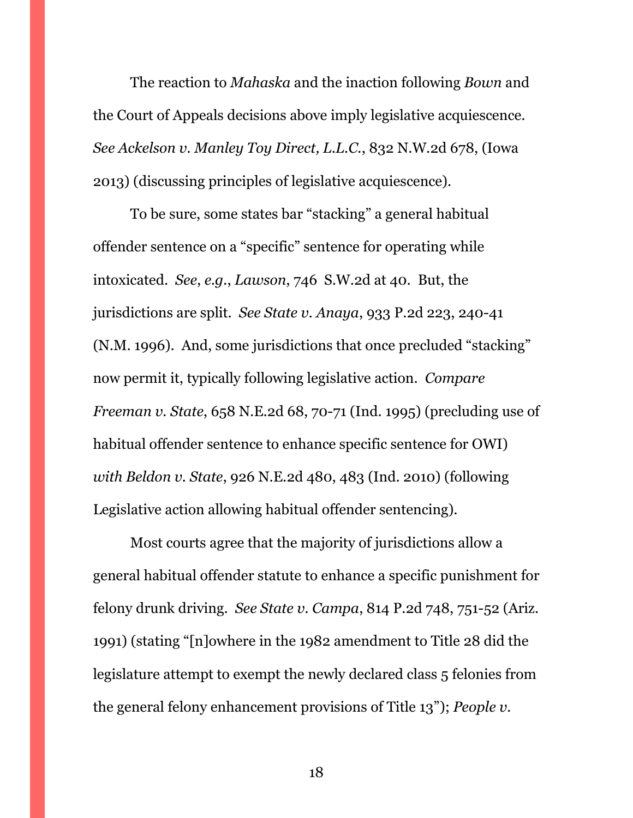The reaction to *Mahaska* and the inaction following *Bown* and the Court of Appeals decisions above imply legislative acquiescence. *See Ackelson v. Manley Toy Direct, L.L.C.*, 832 N.W.2d 678, (Iowa 2013) (discussing principles of legislative acquiescence).

To be sure, some states bar "stacking" a general habitual offender sentence on a "specific" sentence for operating while intoxicated. *See*, *e.g.*, *Lawson*, 746 S.W.2d at 40. But, the jurisdictions are split. *See State v. Anaya*, 933 P.2d 223, 240-41 (N.M. 1996). And, some jurisdictions that once precluded "stacking" now permit it, typically following legislative action. *Compare Freeman v. State*, 658 N.E.2d 68, 70-71 (Ind. 1995) (precluding use of habitual offender sentence to enhance specific sentence for OWI) *with Beldon v. State*, 926 N.E.2d 480, 483 (Ind. 2010) (following Legislative action allowing habitual offender sentencing).

Most courts agree that the majority of jurisdictions allow a general habitual offender statute to enhance a specific punishment for felony drunk driving. *See State v. Campa*, 814 P.2d 748, 751-52 (Ariz. 1991) (stating "[n]owhere in the 1982 amendment to Title 28 did the legislature attempt to exempt the newly declared class 5 felonies from the general felony enhancement provisions of Title 13"); *People v.*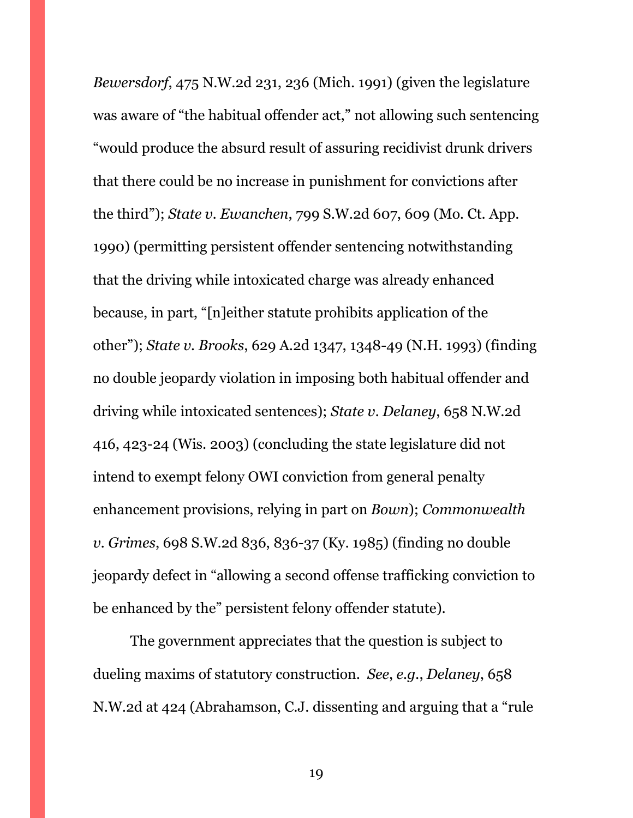*Bewersdorf*, 475 N.W.2d 231, 236 (Mich. 1991) (given the legislature was aware of "the habitual offender act," not allowing such sentencing "would produce the absurd result of assuring recidivist drunk drivers that there could be no increase in punishment for convictions after the third"); *State v. Ewanchen*, 799 S.W.2d 607, 609 (Mo. Ct. App. 1990) (permitting persistent offender sentencing notwithstanding that the driving while intoxicated charge was already enhanced because, in part, "[n]either statute prohibits application of the other"); *State v. Brooks*, 629 A.2d 1347, 1348-49 (N.H. 1993) (finding no double jeopardy violation in imposing both habitual offender and driving while intoxicated sentences); *State v. Delaney*, 658 N.W.2d 416, 423-24 (Wis. 2003) (concluding the state legislature did not intend to exempt felony OWI conviction from general penalty enhancement provisions, relying in part on *Bown*); *Commonwealth v. Grimes*, 698 S.W.2d 836, 836-37 (Ky. 1985) (finding no double jeopardy defect in "allowing a second offense trafficking conviction to be enhanced by the" persistent felony offender statute).

The government appreciates that the question is subject to dueling maxims of statutory construction. *See*, *e.g.*, *Delaney*, 658 N.W.2d at 424 (Abrahamson, C.J. dissenting and arguing that a "rule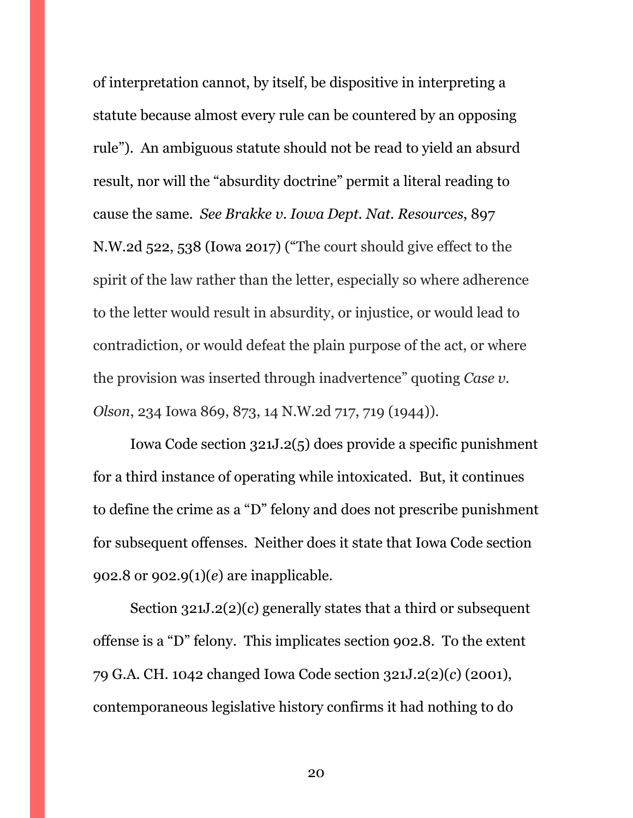of interpretation cannot, by itself, be dispositive in interpreting a statute because almost every rule can be countered by an opposing rule"). An ambiguous statute should not be read to yield an absurd result, nor will the "absurdity doctrine" permit a literal reading to cause the same. *See Brakke v. Iowa Dept. Nat. Resources*, 897 N.W.2d 522, 538 (Iowa 2017) ("The court should give effect to the spirit of the law rather than the letter, especially so where adherence to the letter would result in absurdity, or injustice, or would lead to contradiction, or would defeat the plain purpose of the act, or where the provision was inserted through inadvertence" quoting *Case v. Olson*, 234 Iowa 869, 873, 14 N.W.2d 717, 719 (1944)).

Iowa Code section 321J.2(5) does provide a specific punishment for a third instance of operating while intoxicated. But, it continues to define the crime as a "D" felony and does not prescribe punishment for subsequent offenses. Neither does it state that Iowa Code section 902.8 or 902.9(1)(*e*) are inapplicable.

Section 321J.2(2)(*c*) generally states that a third or subsequent offense is a "D" felony. This implicates section 902.8. To the extent 79 G.A. CH. 1042 changed Iowa Code section 321J.2(2)(*c*) (2001), contemporaneous legislative history confirms it had nothing to do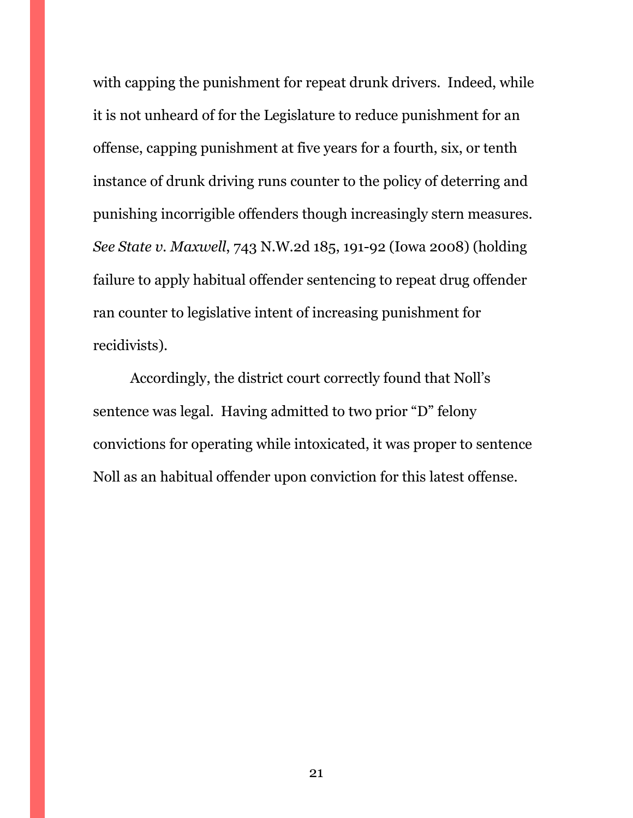with capping the punishment for repeat drunk drivers. Indeed, while it is not unheard of for the Legislature to reduce punishment for an offense, capping punishment at five years for a fourth, six, or tenth instance of drunk driving runs counter to the policy of deterring and punishing incorrigible offenders though increasingly stern measures. *See State v. Maxwell*, 743 N.W.2d 185, 191-92 (Iowa 2008) (holding failure to apply habitual offender sentencing to repeat drug offender ran counter to legislative intent of increasing punishment for recidivists).

Accordingly, the district court correctly found that Noll's sentence was legal. Having admitted to two prior "D" felony convictions for operating while intoxicated, it was proper to sentence Noll as an habitual offender upon conviction for this latest offense.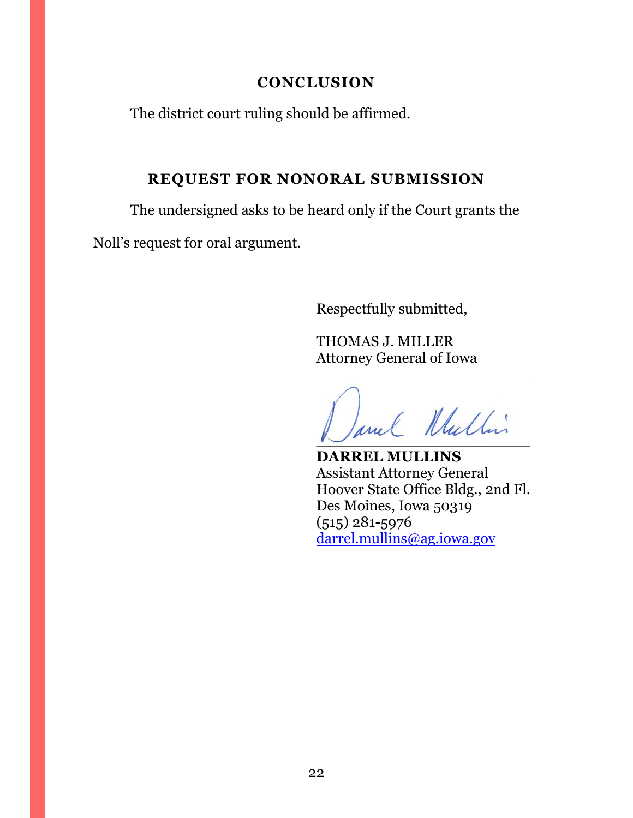# **CONCLUSION**

<span id="page-21-0"></span>The district court ruling should be affirmed.

# **REQUEST FOR NONORAL SUBMISSION**

<span id="page-21-1"></span>The undersigned asks to be heard only if the Court grants the

Noll's request for oral argument.

Respectfully submitted,

THOMAS J. MILLER Attorney General of Iowa

Jane Wullin

**DARREL MULLINS** Assistant Attorney General Hoover State Office Bldg., 2nd Fl. Des Moines, Iowa 50319 (515) 281-5976 [darrel.mullins@ag.iowa.gov](mailto:darrel.mullins@ag.iowa.gov)